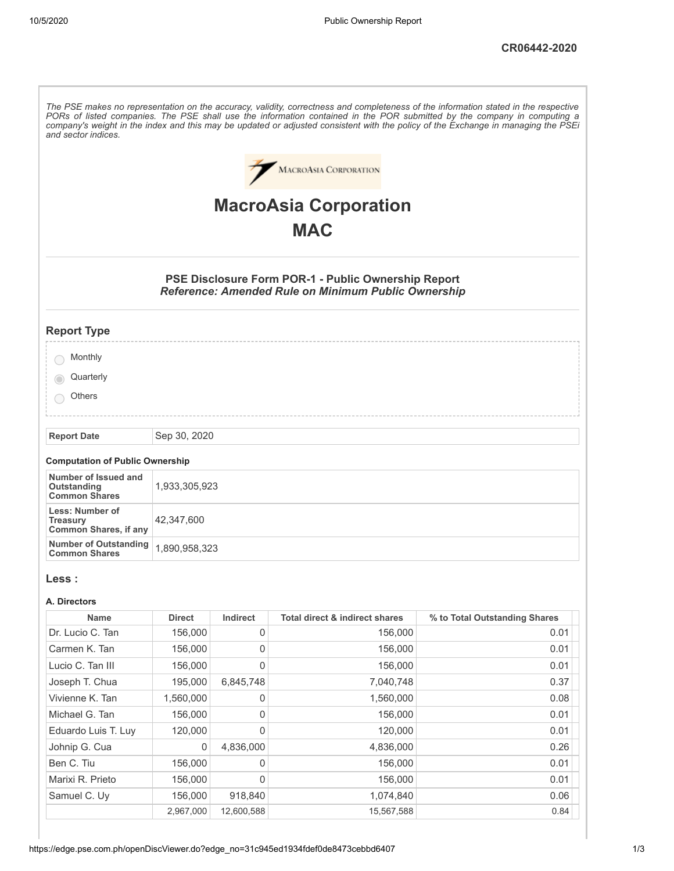The PSE makes no representation on the accuracy, validity, correctness and completeness of the information stated in the respective PORs of listed companies. The PSE shall use the information contained in the POR submitted by the company in computing a company's weight in the index and this may be updated or adjusted consistent with the policy of the Exchange in managing the PSEi *and sector indices.* MACROASIA CORPORATION **MacroAsia Corporation MAC PSE Disclosure Form POR-1 - Public Ownership Report** *Reference: Amended Rule on Minimum Public Ownership* **Report Type** ◯ Monthly **Quarterly**  $\bigcirc$ **Others Report Date** Sep 30, 2020 **Computation of Public Ownership Number of Issued and Outstanding** 1,933,305,923 **Common Shares Less: Number of Treasury** 42,347,600 **Common Shares, if any Number of Outstanding** 1,890,958,323 **Common Shares Less : A. Directors Name Direct Indirect Total direct & indirect shares % to Total Outstanding Shares** Dr. Lucio C. Tan 156,000 0 156,000 0 156,000 0.01 Carmen K. Tan 156,000 0 156,000 0.01 Lucio C. Tan III 156,000 0 156,000 0 156,000 0.01 Joseph T. Chua 195,000 6,845,748 7,040,748 0.37 Vivienne K. Tan  $1,560,000$  0 1,560,000 1,560,000 0.08 Michael G. Tan 156,000 0 156,000 0 156,000 0.01 Eduardo Luis T. Luy 120,000 0 120,000 0 120,000 0.01

Johnip G. Cua 0 4,836,000 4,836,000 0.26 Ben C. Tiu 156,000 0 156,000 0.01 Marixi R. Prieto 156,000 0 156,000 0 156,000 0.01 Samuel C. Uy 156,000 918,840 1,074,840 1,074,840 0.06

2,967,000 12,600,588 15,567,588 0.84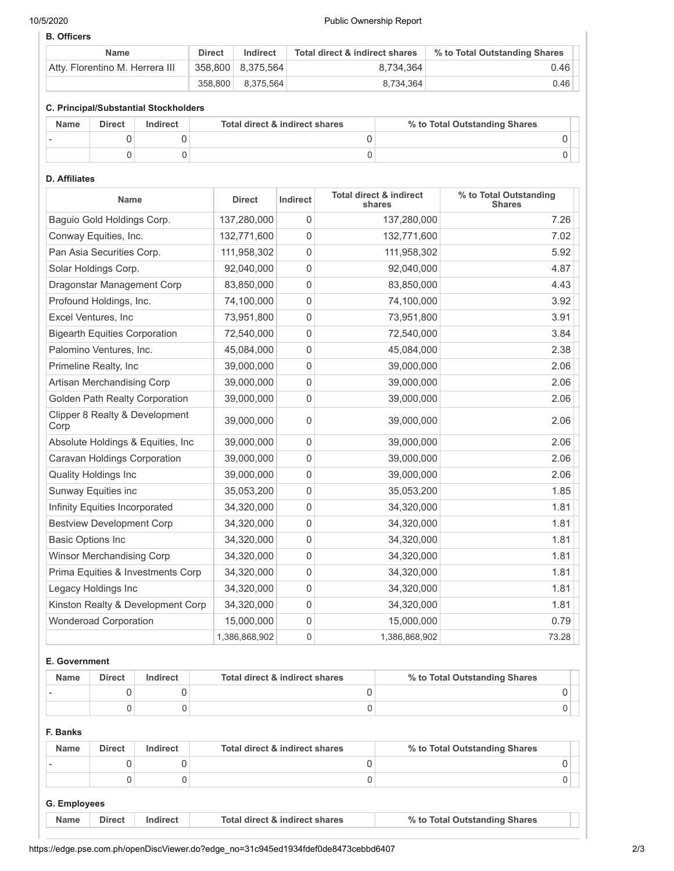### 10/5/2020 Public Ownership Report

### **B. Officers**

| <b>Name</b>                     | <b>Direct</b> | Indirect          | Total direct & indirect shares | % to Total Outstanding Shares |
|---------------------------------|---------------|-------------------|--------------------------------|-------------------------------|
| Atty, Florentino M. Herrera III |               | 358,800 8,375,564 | 8.734.364                      | 0.46                          |
|                                 | 358.800       | 8.375.564         | 8.734.364                      | 0.46                          |

### **C. Principal/Substantial Stockholders**

| <b>Name</b> | <b>Direct</b> | Indirect | Total direct & indirect shares | % to Total Outstanding Shares |
|-------------|---------------|----------|--------------------------------|-------------------------------|
|             |               |          |                                |                               |
|             |               |          |                                |                               |

## **D. Affiliates**

| Name                                   | <b>Direct</b> | Indirect       | <b>Total direct &amp; indirect</b><br>shares | % to Total Outstanding<br><b>Shares</b> |
|----------------------------------------|---------------|----------------|----------------------------------------------|-----------------------------------------|
| Baguio Gold Holdings Corp.             | 137,280,000   | $\mathbf 0$    | 137,280,000                                  | 7.26                                    |
| Conway Equities, Inc.                  | 132,771,600   | $\mathbf 0$    | 132,771,600                                  | 7.02                                    |
| Pan Asia Securities Corp.              | 111,958,302   | $\Omega$       | 111,958,302                                  | 5.92                                    |
| Solar Holdings Corp.                   | 92,040,000    | $\mathbf 0$    | 92,040,000                                   | 4.87                                    |
| Dragonstar Management Corp             | 83,850,000    | $\mathbf 0$    | 83,850,000                                   | 4.43                                    |
| Profound Holdings, Inc.                | 74,100,000    | 0              | 74,100,000                                   | 3.92                                    |
| Excel Ventures, Inc                    | 73,951,800    | $\mathbf 0$    | 73,951,800                                   | 3.91                                    |
| <b>Bigearth Equities Corporation</b>   | 72,540,000    | $\mathbf 0$    | 72,540,000                                   | 3.84                                    |
| Palomino Ventures, Inc.                | 45,084,000    | $\mathbf 0$    | 45,084,000                                   | 2.38                                    |
| Primeline Realty, Inc                  | 39,000,000    | $\mathbf 0$    | 39,000,000                                   | 2.06                                    |
| Artisan Merchandising Corp             | 39,000,000    | $\mathbf 0$    | 39,000,000                                   | 2.06                                    |
| <b>Golden Path Realty Corporation</b>  | 39,000,000    | $\mathbf 0$    | 39,000,000                                   | 2.06                                    |
| Clipper 8 Realty & Development<br>Corp | 39,000,000    | 0              | 39,000,000                                   | 2.06                                    |
| Absolute Holdings & Equities, Inc.     | 39,000,000    | $\mathbf 0$    | 39,000,000                                   | 2.06                                    |
| Caravan Holdings Corporation           | 39,000,000    | $\mathbf{0}$   | 39,000,000                                   | 2.06                                    |
| <b>Quality Holdings Inc</b>            | 39,000,000    | 0              | 39,000,000                                   | 2.06                                    |
| Sunway Equities inc                    | 35,053,200    | $\mathbf 0$    | 35,053,200                                   | 1.85                                    |
| Infinity Equities Incorporated         | 34,320,000    | $\mathbf 0$    | 34,320,000                                   | 1.81                                    |
| <b>Bestview Development Corp</b>       | 34,320,000    | $\mathbf{0}$   | 34,320,000                                   | 1.81                                    |
| <b>Basic Options Inc</b>               | 34,320,000    | $\mathbf 0$    | 34,320,000                                   | 1.81                                    |
| <b>Winsor Merchandising Corp</b>       | 34,320,000    | $\mathbf{0}$   | 34,320,000                                   | 1.81                                    |
| Prima Equities & Investments Corp      | 34,320,000    | $\Omega$       | 34,320,000                                   | 1.81                                    |
| Legacy Holdings Inc                    | 34,320,000    | $\mathbf 0$    | 34,320,000                                   | 1.81                                    |
| Kinston Realty & Development Corp      | 34,320,000    | $\mathbf{0}$   | 34,320,000                                   | 1.81                                    |
| <b>Wonderoad Corporation</b>           | 15,000,000    | 0              | 15,000,000                                   | 0.79                                    |
|                                        | 1,386,868,902 | $\overline{0}$ | 1,386,868,902                                | 73.28                                   |

### **E. Government**

| <b>Name</b> | <b>Direct</b> | Indirect | Total direct & indirect shares | % to Total Outstanding Shares |
|-------------|---------------|----------|--------------------------------|-------------------------------|
|             |               |          |                                |                               |
|             |               |          |                                |                               |

### **F. Banks**

| <b>Name</b>  | <b>Direct</b> | Indirect | Total direct & indirect shares | % to Total Outstanding Shares |
|--------------|---------------|----------|--------------------------------|-------------------------------|
|              |               |          |                                |                               |
|              |               |          |                                |                               |
| G. Employees |               |          |                                |                               |

| <b>Direct</b><br><b>Name</b><br>% to Total Outstanding Shares<br>Total direct & indirect shares |  |
|-------------------------------------------------------------------------------------------------|--|
|-------------------------------------------------------------------------------------------------|--|